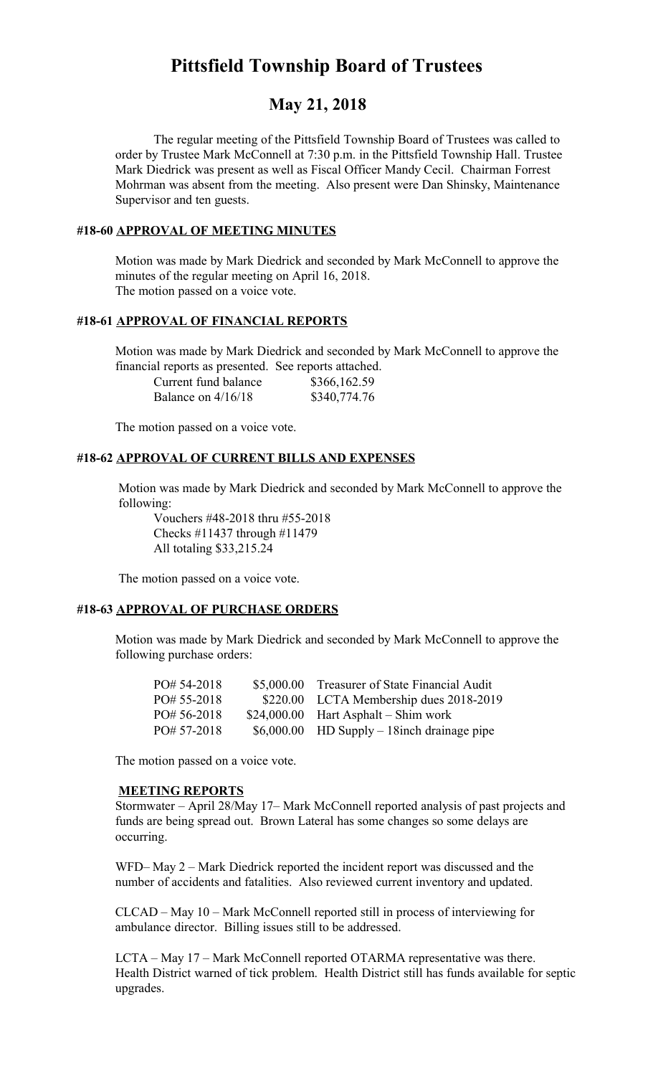# **Pittsfield Township Board of Trustees**

## **May 21, 2018**

The regular meeting of the Pittsfield Township Board of Trustees was called to order by Trustee Mark McConnell at 7:30 p.m. in the Pittsfield Township Hall. Trustee Mark Diedrick was present as well as Fiscal Officer Mandy Cecil. Chairman Forrest Mohrman was absent from the meeting. Also present were Dan Shinsky, Maintenance Supervisor and ten guests.

#### **#18-60 APPROVAL OF MEETING MINUTES**

Motion was made by Mark Diedrick and seconded by Mark McConnell to approve the minutes of the regular meeting on April 16, 2018. The motion passed on a voice vote.

#### **#18-61 APPROVAL OF FINANCIAL REPORTS**

Motion was made by Mark Diedrick and seconded by Mark McConnell to approve the financial reports as presented. See reports attached.

| Current fund balance | \$366,162.59 |
|----------------------|--------------|
| Balance on $4/16/18$ | \$340,774.76 |

The motion passed on a voice vote.

#### **#18-62 APPROVAL OF CURRENT BILLS AND EXPENSES**

Motion was made by Mark Diedrick and seconded by Mark McConnell to approve the following:

Vouchers #48-2018 thru #55-2018 Checks #11437 through #11479 All totaling \$33,215.24

The motion passed on a voice vote.

#### **#18-63 APPROVAL OF PURCHASE ORDERS**

Motion was made by Mark Diedrick and seconded by Mark McConnell to approve the following purchase orders:

| $PO# 54-2018$ | \$5,000.00 Treasurer of State Financial Audit |
|---------------|-----------------------------------------------|
| $PO# 55-2018$ | \$220.00 LCTA Membership dues 2018-2019       |
| $PO#56-2018$  | $$24,000.00$ Hart Asphalt – Shim work         |
| $PO# 57-2018$ | $$6,000.00$ HD Supply – 18 inch drainage pipe |

The motion passed on a voice vote.

#### **MEETING REPORTS**

Stormwater – April 28/May 17– Mark McConnell reported analysis of past projects and funds are being spread out. Brown Lateral has some changes so some delays are occurring.

WFD– May 2 – Mark Diedrick reported the incident report was discussed and the number of accidents and fatalities. Also reviewed current inventory and updated.

CLCAD – May 10 – Mark McConnell reported still in process of interviewing for ambulance director. Billing issues still to be addressed.

LCTA – May 17 – Mark McConnell reported OTARMA representative was there. Health District warned of tick problem. Health District still has funds available for septic upgrades.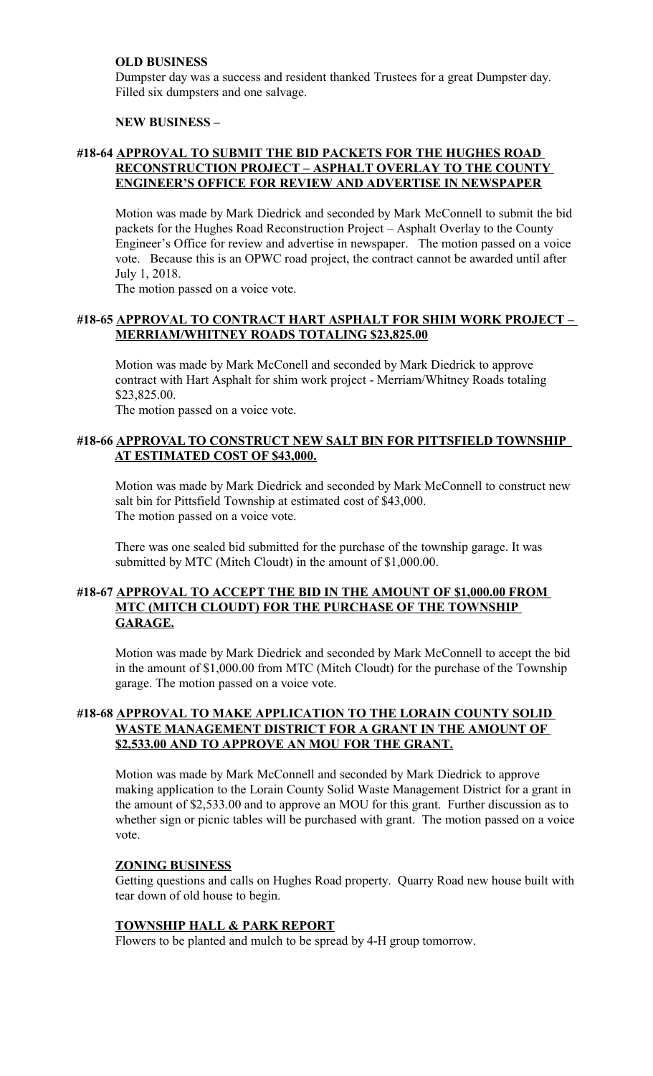#### **OLD BUSINESS**

Dumpster day was a success and resident thanked Trustees for a great Dumpster day. Filled six dumpsters and one salvage.

#### **NEW BUSINESS –**

#### **#18-64 APPROVAL TO SUBMIT THE BID PACKETS FOR THE HUGHES ROAD RECONSTRUCTION PROJECT – ASPHALT OVERLAY TO THE COUNTY ENGINEER'S OFFICE FOR REVIEW AND ADVERTISE IN NEWSPAPER**

Motion was made by Mark Diedrick and seconded by Mark McConnell to submit the bid packets for the Hughes Road Reconstruction Project – Asphalt Overlay to the County Engineer's Office for review and advertise in newspaper. The motion passed on a voice vote. Because this is an OPWC road project, the contract cannot be awarded until after July 1, 2018.

The motion passed on a voice vote.

#### **#18-65 APPROVAL TO CONTRACT HART ASPHALT FOR SHIM WORK PROJECT – MERRIAM/WHITNEY ROADS TOTALING \$23,825.00**

Motion was made by Mark McConell and seconded by Mark Diedrick to approve contract with Hart Asphalt for shim work project - Merriam/Whitney Roads totaling \$23,825.00.

The motion passed on a voice vote.

#### **#18-66 APPROVAL TO CONSTRUCT NEW SALT BIN FOR PITTSFIELD TOWNSHIP AT ESTIMATED COST OF \$43,000.**

Motion was made by Mark Diedrick and seconded by Mark McConnell to construct new salt bin for Pittsfield Township at estimated cost of \$43,000. The motion passed on a voice vote.

There was one sealed bid submitted for the purchase of the township garage. It was submitted by MTC (Mitch Cloudt) in the amount of \$1,000.00.

#### **#18-67 APPROVAL TO ACCEPT THE BID IN THE AMOUNT OF \$1,000.00 FROM MTC (MITCH CLOUDT) FOR THE PURCHASE OF THE TOWNSHIP GARAGE.**

Motion was made by Mark Diedrick and seconded by Mark McConnell to accept the bid in the amount of \$1,000.00 from MTC (Mitch Cloudt) for the purchase of the Township garage. The motion passed on a voice vote.

#### **#18-68 APPROVAL TO MAKE APPLICATION TO THE LORAIN COUNTY SOLID WASTE MANAGEMENT DISTRICT FOR A GRANT IN THE AMOUNT OF \$2,533.00 AND TO APPROVE AN MOU FOR THE GRANT.**

Motion was made by Mark McConnell and seconded by Mark Diedrick to approve making application to the Lorain County Solid Waste Management District for a grant in the amount of \$2,533.00 and to approve an MOU for this grant. Further discussion as to whether sign or picnic tables will be purchased with grant. The motion passed on a voice vote.

#### **ZONING BUSINESS**

Getting questions and calls on Hughes Road property. Quarry Road new house built with tear down of old house to begin.

#### **TOWNSHIP HALL & PARK REPORT**

Flowers to be planted and mulch to be spread by 4-H group tomorrow.